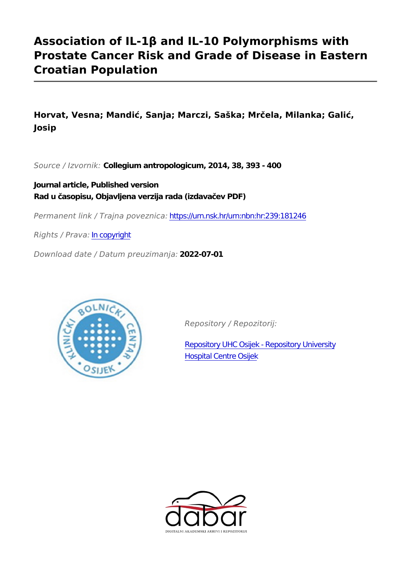# **Association of IL-1β and IL-10 Polymorphisms with Prostate Cancer Risk and Grade of Disease in Eastern Croatian Population**

**Horvat, Vesna; Mandić, Sanja; Marczi, Saška; Mrčela, Milanka; Galić, Josip**

*Source / Izvornik:* **Collegium antropologicum, 2014, 38, 393 - 400**

**Journal article, Published version Rad u časopisu, Objavljena verzija rada (izdavačev PDF)**

*Permanent link / Trajna poveznica:* <https://urn.nsk.hr/urn:nbn:hr:239:181246>

*Rights / Prava:* [In copyright](http://rightsstatements.org/vocab/InC/1.0/)

*Download date / Datum preuzimanja:* **2022-07-01**



*Repository / Repozitorij:*

[Repository UHC Osijek - Repository University](https://repozitorij.kbco.hr) [Hospital Centre Osijek](https://repozitorij.kbco.hr)

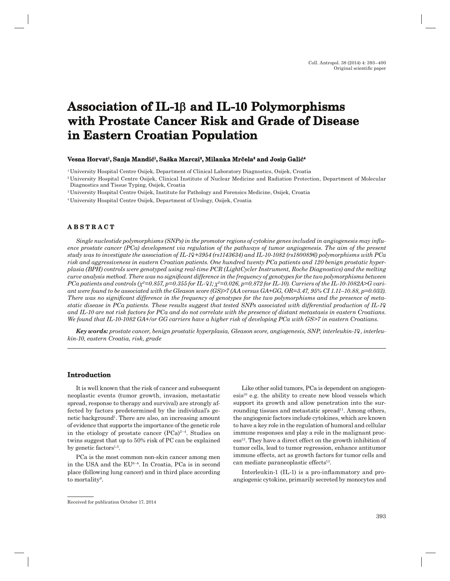# Association of IL-1β and IL-10 Polymorphisms **with Prostate Cancer Risk and Grade of Disease ith Risk in Eastern Croatian Population <sup>n</sup>**

#### $\bf$  Vesna Horvat<sup>1</sup>, Sanja Mandić<sup>1</sup>, Saška Marczi<sup>2</sup>, Milanka Mrčela $^{\rm a}$  and Josip Galić $^{\rm a}$

1 University Hospital Centre Osijek, Department of Clinical Laboratory Diagnostics, Osijek, Croatia

3 University Hospital Centre Osijek, Institute for Pathology and Forensics Medicine, Osijek, Croatia

4 University Hospital Centre Osijek, Department of Urology, Osijek, Croatia

# **ABSTRACT B S T R A C T**

Single nucleotide polymorphisms (SNPs) in the promotor regions of cytokine genes included in angiogenesis may influ*ence prostate cancer (PCa) development via regulation of the pathways of tumor angiogenesis. The aim of the present study was to investigate the association of IL-1b+3954 (rs1143634) and IL-10-1082 (rs1800896) polymorphisms with PCa risk and aggressiveness in eastern Croatian patients. One hundred twenty PCa patients and 120 benign prostatic hyperplasia (BPH) controls were genotyped using real-time PCR (LightCycler Instrument, Roche Diagnostics) and the melting curve analysis method. There was no signifi cant difference in the frequency of genotypes for the two polymorphisms between PCa patients and controls (χ2=0.857, p=0.355 for IL-b1; χ2=0.026, p=0.872 for IL-10). Carriers of the IL-10-1082A>G variant were found to be associated with the Gleason score (GS)>7 (AA versus GA+GG, OR=3.47, 95% CI 1.11–10.88, p=0.033).*  There was no significant difference in the frequency of genotypes for the two polymorphisms and the presence of meta*static disease in PCa patients. These results suggest that tested SNPs associated with differential production of IL-1b and IL-10 are not risk factors for PCa and do not correlate with the presence of distant metastasis in eastern Croatians. We found that IL-10-1082 GA+/or GG carriers have a higher risk of developing PCa with GS>7 in eastern Croatians.*

*Key words: prostate cancer, benign prostatic hyperplasia, Gleason score, angiogenesis, SNP, interleukin-1b, interleukin-10, eastern Croatia, risk, grade*

## **Introduction ntroduction**

It is well known that the risk of cancer and subsequent neoplastic events (tumor growth, invasion, metastatic spread, response to therapy and survival) are strongly affected by factors predetermined by the individual's genetic background<sup>1</sup>. There are also, an increasing amount of evidence that supports the importance of the genetic role in the etiology of prostate cancer  $(PCa)^{2-4}$ . Studies on twins suggest that up to 50% risk of PC can be explained by genetic factors $^{1,5}$ .

PCa is the most common non-skin cancer among men in the USA and the EU6–8. In Croatia, PCa is in second place (following lung cancer) and in third place according to mortality<sup>9</sup>.

Like other solid tumors, PCa is dependent on angiogen $e$ sis<sup>10</sup> e.g. the ability to create new blood vessels which support its growth and allow penetration into the surrounding tissues and metastatic spread<sup>11</sup>. Among others, the angiogenic factors include cytokines, which are known to have a key role in the regulation of humoral and cellular immune responses and play a role in the malignant proc- $\text{ess}^{12}$ . They have a direct effect on the growth inhibition of tumor cells, lead to tumor regression, enhance antitumor immune effects, act as growth factors for tumor cells and can mediate paraneoplastic effects<sup>13</sup>.

Interleukin-1 (IL-1) is a pro-inflammatory and proangiogenic cytokine, primarily secreted by monocytes and

<sup>2</sup> University Hospital Centre Osijek, Clinical Institute of Nuclear Medicine and Radiation Protection, Department of Molecular Diagnostics and Tissue Typing, Osijek, Croatia

Received for publication October 17, 2014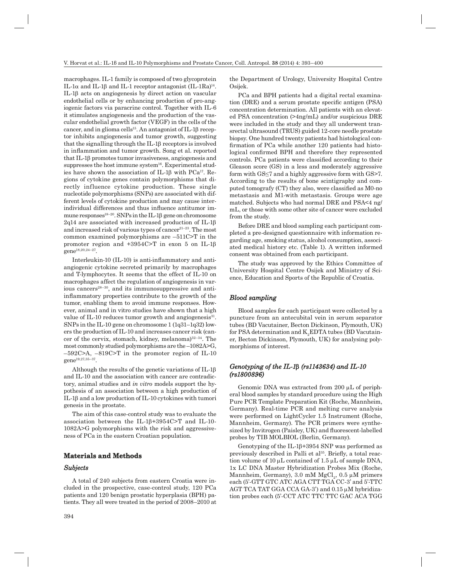macrophages. IL-1 family is composed of two glycoprotein IL-1α and IL-1β and IL-1 receptor antagonist (IL-1Ra)<sup>14</sup>. IL-1b acts on angiogenesis by direct action on vascular endothelial cells or by enhancing production of pro-angiogenic factors via paracrine control. Together with IL-6 it stimulates angiogenesis and the production of the vascular endothelial growth factor (VEGF) in the cells of the cancer, and in glioma cells<sup>15</sup>. An antagonist of IL-1 $\beta$  receptor inhibits angiogenesis and tumor growth, suggesting that the signalling through the  $IL-1\beta$  receptors is involved in inflammation and tumor growth. Song et al. reported that IL-1b promotes tumor invasiveness, angiogenesis and suppresses the host immune system<sup>16</sup>. Experimental studies have shown the association of IL-1 $\beta$  with PCa<sup>17</sup>. Regions of cytokine genes contain polymorphisms that directly influence cytokine production. These single nucleotide polymorphisms (SNPs) are associated with different levels of cytokine production and may cause interindividual differences and thus influence antitumor immune responses<sup>18–20</sup>. SNPs in the IL-1 $\beta$  gene on chromosome 2q14 are associated with increased production of IL-1 $\beta$ and increased risk of various types of cancer<sup>21-23</sup>. The most common examined polymorphisms are –511C>T in the promoter region and  $+3954C>T$  in exon 5 on IL-1 $\beta$ gene18,20,24–27.

Interleukin-10 (IL-10) is anti-inflammatory and antiangiogenic cytokine secreted primarily by macrophages and T-lymphocytes. It seems that the effect of IL-10 on macrophages affect the regulation of angiogenesis in various cancers<sup>28–30</sup>, and its immunosuppressive and antiinflammatory properties contribute to the growth of the tumor, enabling them to avoid immune responses. However, animal and in vitro studies have shown that a high value of IL-10 reduces tumor growth and angiogenesis<sup>31</sup>. SNPs in the IL-10 gene on chromosome 1 (1q31–1q32) lowers the production of IL-10 and increases cancer risk (cancer of the cervix, stomach, kidney, melanoma) $32-34$ . The most commonly studied polymorphisms are the –1082A>G,  $-592C>A$ ,  $-819C>T$  in the promoter region of IL-10 gene19,27,35–37.

Although the results of the genetic variations of  $IL-1\beta$ and IL-10 and the association with cancer are contradictory, animal studies and *in vitro* models support the hypothesis of an association between a high production of IL-1 $\beta$  and a low production of IL-10 cytokines with tumori genesis in the prostate.

The aim of this case-control study was to evaluate the association between the IL-1 $\beta$ +3954C>T and IL-10-1082A>G polymorphisms with the risk and aggressiveness of PCa in the eastern Croatian population.

## ${\bf Met }$  Materials and  ${\bf Met }$

## *Subjects <sup>u</sup> bjects*

A total of 240 subjects from eastern Croatia were included in the prospective, case-control study, 120 PCa patients and 120 benign prostatic hyperplasia (BPH) patients. They all were treated in the period of 2008–2010 at the Department of Urology, University Hospital Centre Osijek.

PCa and BPH patients had a digital rectal examination (DRE) and a serum prostate speci fi c antigen (PSA) concentration determination. All patients with an elevated PSA concentration (>4ng/mL) and/or suspicious DRE were included in the study and they all underwent transrectal ultrasound (TRUS) guided 12-core needle prostate biopsy. One hundred twenty patients had histological confirmation of PCa while another 120 patients had histological confirmed BPH and therefore they represented controls. PCa patients were classified according to their Gleason score (GS) in a less and moderately aggressive form with GS ≤7 and a highly aggressive form with GS>7. According to the results of bone scintigraphy and computed tomografy (CT) they also, were classified as M0-no metastasis and M1-with metastasis. Groups were age matched. Subjects who had normal DRE and PSA<4 ng/ mL, or those with some other site of cancer were excluded from the study.

Before DRE and blood sampling each participant completed a pre-designed questionnaire with information regarding age, smoking status, alcohol consumption, associated medical history etc. (Table 1). A written informed consent was obtained from each participant.

The study was approved by the Ethics Committee of University Hospital Centre Osijek and Ministry of Science, Education and Sports of the Republic of Croatia.

## *Blood sampling lo o d sa mpling*

Blood samples for each participant were collected by a puncture from an antecubital vein in serum separator tubes (BD Vacutainer, Becton Dickinson, Plymouth, UK) for PSA determination and  $K_{\alpha}EDTA$  tubes (BD Vacutainer, Becton Dickinson, Plymouth, UK) for analysing polymorphisms of interest.

# $Genotyping of the IL-1β (rs1143634) and IL-10$ *(rs1800896) rs18 0 0 8 9 6)*

Genomic DNA was extracted from 200 µL of peripheral blood samples by standard procedure using the High Pure PCR Template Preparation Kit (Roche, Mannheim, Germany). Real-time PCR and melting curve analysis were performed on LightCycler 1.5 Instrument (Roche, Mannheim, Germany). The PCR primers were synthesized by Invitrogen (Paisley, UK) and fluorescent-labelled probes by TIB MOLBIOL (Berlin, Germany).

Genotyping of the IL-1b+3954 SNP was performed as previously described in Palli et al<sup>35</sup>. Briefly, a total reaction volume of  $10 \mu L$  contained of  $1.5 \mu L$  of sample DNA, 1x LC DNA Master Hybridization Probes Mix (Roche, Mannheim, Germany), 3.0 mM MgCl<sub>2</sub>, 0.5  $\mu$ M primers each (5'-GTT GTC ATC AGA CTT TGA CC-3' and 5'-TTC AGT TCA TAT GGA CCA GA-3') and  $0.15 \mu$ M hybridization probes each (5'-CCT ATC TTC TTC GAC ACA TGG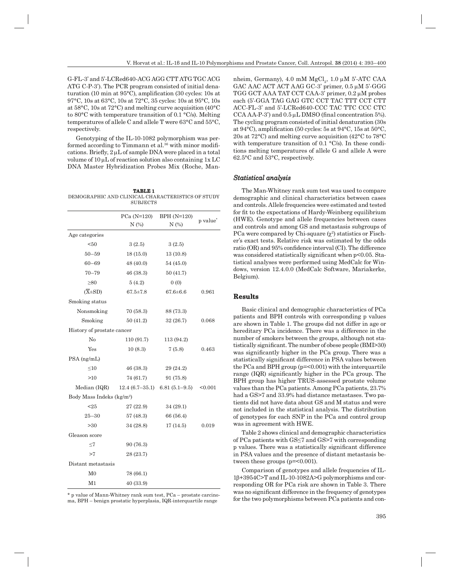G-FL-3' and 5'-LCRed640-ACG AGG CTT ATG TGC ACG ATG C-P-3'). The PCR program consisted of initial dena turation (10 min at 95°C), amplification (30 cycles: 10s at 97°C, 10s at 63°C, 10s at 72°C, 35 cycles: 10s at 95°C, 10s at 58°C, 10s at 72°C) and melting curve acquisition (40°C to 80°C with temperature transition of 0.1 °C/s). Melting temperatures of allele C and allele T were 63°C and 55°C, respectively.

Genotyping of the IL-10-1082 polymorphism was performed according to Timmann et al.<sup>36</sup> with minor modifications. Briefly,  $2 \mu L$  of sample DNA were placed in a total volume of  $10 \mu L$  of reaction solution also containing  $1x LC$ DNA Master Hybridization Probes Mix (Roche, Man-

**TABLE 1** DEMOGRAPHIC AND CLINICAL CHARACTERISTICS OF STUDY SUBJECTS

|                                       | $PCa(N=120)$                      | $BPH (N=120)$  | p value*   |
|---------------------------------------|-----------------------------------|----------------|------------|
|                                       | N(%)                              | $N$ $(\%)$     |            |
| Age categories                        |                                   |                |            |
| < 50                                  | 3(2.5)                            | 3(2.5)         |            |
| $50 - 59$                             | 18(15.0)                          | 13(10.8)       |            |
| $60 - 69$                             | 48 (40.0)                         | 54 (45.0)      |            |
| $70 - 79$                             | 46 (38.3)                         | 50(41.7)       |            |
| $\geq 80$                             | 5(4.2)                            | 0(0)           |            |
| $(X\pm SD)$                           | $67.5 \pm 7.8$                    | $67.6 \pm 6.6$ | 0.961      |
| Smoking status                        |                                   |                |            |
| Nonsmoking                            | 70(58.3)                          | 88 (73.3)      |            |
| Smoking                               | 50(41.2)                          | 32(26.7)       | 0.068      |
| History of prostate cancer            |                                   |                |            |
| No                                    | 110 (91.7)                        | 113 (94.2)     |            |
| Yes                                   | 10(8.3)                           | 7(5.8)         | 0.463      |
| PSA (ng/mL)                           |                                   |                |            |
| $\leq10$                              | 46(38.3)                          | 29 (24.2)      |            |
| >10                                   | 74 (61.7)                         | 91 (75.8)      |            |
| Median (IQR)                          | $12.4(6.7-35.1)$ 6.81 $(5.1-9.5)$ |                | < 0.001    |
| Body Mass Indeks (kg/m <sup>2</sup> ) |                                   |                |            |
| $25$                                  | 27(22.9)                          | 34 (29.1)      |            |
| $25 - 30$                             | 57 (48.3)                         | 66 (56.4)      |            |
| >30                                   | 34 (28.8)                         | 17(14.5)       | $_{0.019}$ |
| Gleason score                         |                                   |                |            |
| $\leq$ 7                              | 90 (76.3)                         |                |            |
| >7                                    | 28 (23.7)                         |                |            |
| Distant metastasis                    |                                   |                |            |
| M <sub>0</sub>                        | 78 (66.1)                         |                |            |
| M1                                    | 40 (33.9)                         |                |            |

\* p value of Mann-Whitney rank sum test, PCa – prostate carcinoma, BPH – benign prostatic hyperplasia, IQR-interquartile range

nheim, Germany), 4.0 mM  $MgCl<sub>2</sub>$ , 1.0  $\mu$ M 5'-ATC CAA GAC AAC ACT ACT AAG GC-3' primer,  $0.5 \mu M$  5'-GGG TGG GCT AAA TAT CCT CAA-3' primer, 0.2 µM probes each (5'-GGA TAG GAG GTC CCT TAC TTT CCT CTT ACC-FL-3' and 5'-LCRed640-CCC TAC TTC CCC CTC  $CCA$  AA-P-3') and  $0.5 \mu L$  DMSO (final concentration 5%). The cycling program consisted of initial denaturation (30s at 94°C), amplification (50 cycles: 5s at 94°C, 15s at 50°C, 20s at 72°C) and melting curve acquisition (42°C to 78°C with temperature transition of 0.1 °C/s). In these conditions melting temperatures of allele G and allele A were 62.5°C and 53°C, respectively.

## *Statistical analysis tatistical a n alysis*

The Man-Whitney rank sum test was used to compare demographic and clinical characteristics between cases and controls. Allele frequencies were estimated and tested for fit to the expectations of Hardy-Weinberg equilibrium (HWE). Genotype and allele frequencies between cases and controls and among GS and metastasis subgroups of PCa were compared by Chi-square  $(\chi^2)$  statistics or Fischer's exact tests. Relative risk was estimated by the odds ratio (OR) and 95% confidence interval (CI). The difference was considered statistically significant when  $p<0.05$ . Statistical analyses were performed using MedCalc for Windows, version 12.4.0.0 (MedCalc Software, Mariakerke, Belgium).

#### **Results**

Basic clinical and demographic characteristics of PCa patients and BPH controls with corresponding p values are shown in Table 1. The groups did not differ in age or hereditary PCa incidence. There was a difference in the number of smokers between the groups, although not statistically significant. The number of obese people (BMI>30) was significantly higher in the PCa group. There was a statistically significant difference in PSA values between the PCa and BPH group  $(p=<0.001)$  with the interquartile range (IQR) significantly higher in the PCa group. The BPH group has higher TRUS-assessed prostate volume values than the PCa patients. Among PCa patients, 23.7% had a GS>7 and 33.9% had distance metastases. Two patients did not have data about GS and M status and were not included in the statistical analysis. The distribution of genotypes for each SNP in the PCa and control group was in agreement with HWE.

Table 2 shows clinical and demographic characteristics of PCa patients with GS ≤7 and GS>7 with corresponding p values. There was a statistically significant difference in PSA values and the presence of distant metastasis between these groups ( $p = 0.001$ ).

Comparison of genotypes and allele frequencies of IL- $1\beta + 3954C$  and IL-10-1082A>G polymorphisms and corresponding OR for PCa risk are shown in Table 3. There was no significant difference in the frequency of genotypes for the two polymorphisms between PCa patients and con-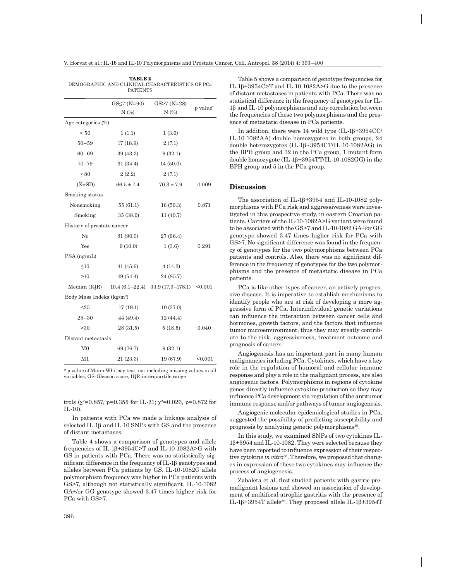|                            | <b>TABLE 2</b><br><b>PATIENTS</b>     | DEMOGRAPHIC AND CLINICAL CHARACTERISTICS OF PCa |                      |  |  |  |  |
|----------------------------|---------------------------------------|-------------------------------------------------|----------------------|--|--|--|--|
|                            | $GS \leq 7$ (N=90)<br>$N$ $(\%)$      | $GS > 7 (N=28)$<br>$N$ $(\%)$                   | p value <sup>*</sup> |  |  |  |  |
| Age categories (%)         |                                       |                                                 |                      |  |  |  |  |
| < 50                       | 1(1.1)                                | 1(3.6)                                          |                      |  |  |  |  |
| 50–59                      | 17 (18.9)                             | 2(7.1)                                          |                      |  |  |  |  |
| $60 - 69$                  | 39 (43.3)                             | 9(32.1)                                         |                      |  |  |  |  |
| $70 - 79$                  | 31 (34.4)                             | 14(50.0)                                        |                      |  |  |  |  |
| $\geq$ 80                  | 2(2.2)                                | 2(7.1)                                          |                      |  |  |  |  |
| $(\overline{X} \pm SD)$    | $66.5 \pm 7.4$                        | $70.3 \pm 7.9$                                  | 0.009                |  |  |  |  |
| Smoking status             |                                       |                                                 |                      |  |  |  |  |
| Nonsmoking                 | 55(61.1)                              | 16(59.3)                                        | 0.871                |  |  |  |  |
| Smoking                    | 35(38.9)                              | 11 (40.7)                                       |                      |  |  |  |  |
| History of prostate cancer |                                       |                                                 |                      |  |  |  |  |
| No                         | 81 (90.0)                             | 27 (96.4)                                       |                      |  |  |  |  |
| Yes                        | 9(10.0)                               | 1(3.6)                                          | 0.291                |  |  |  |  |
| $PSA$ (ng/mL)              |                                       |                                                 |                      |  |  |  |  |
| $\leq10$                   | 41(45.6)                              | 4(14.3)                                         |                      |  |  |  |  |
| >10                        | 49 (54.4)                             | 24 (85.7)                                       |                      |  |  |  |  |
| Median (IQR)               |                                       | $10.4(6.1-22.4)$ $33.9(17.9-178.1)$ <0.001      |                      |  |  |  |  |
|                            | Body Mass Indeks (kg/m <sup>2</sup> ) |                                                 |                      |  |  |  |  |
| $25$                       | 17(19.1)                              | 10 (37.0)                                       |                      |  |  |  |  |
| $25 - 30$                  | 44 (49.4)                             | 12 (44.4)                                       |                      |  |  |  |  |
| >30                        | 28 (31.5)                             | 5(18.5)                                         | 0.040                |  |  |  |  |
| Distant metastasis         |                                       |                                                 |                      |  |  |  |  |
| $_{\rm M0}$                | 69 (76.7)                             | 9(32.1)                                         |                      |  |  |  |  |
| M1                         | 21 (23.3)                             | 19 (67.9)                                       | < 0.001              |  |  |  |  |

\* p value of Mann-Whitney test, not including missing values in all variables, GS-Gleason score, IQR-interquartile range

trols ( $\chi^2$ =0.857, p=0.355 for IL- $\beta$ 1;  $\chi^2$ =0.026, p=0.872 for IL-10).

In patients with PCa we made a linkage analysis of selected IL-1 $\beta$  and IL-10 SNPs with GS and the presence of distant metastases.

Table 4 shows a comparison of genotypes and allele frequencies of IL-1b+3954C>T and IL-10-1082A>G with GS in patients with PCa. There was no statistically significant difference in the frequency of IL-1<sub>β</sub> genotypes and alleles between PCa patients by GS. IL-10-1082G allele polymorphism frequency was higher in PCa patients with GS>7, although not statistically significant. IL-10-1082 GA+/or GG genotype showed 3.47 times higher risk for PCa with GS>7.

396

Table 5 shows a comparison of genotype frequencies for IL-1 $\beta$ +3954C>T and IL-10-1082A>G due to the presence of distant metastases in patients with PCa. There was no statistical difference in the frequency of genotypes for IL-1b and IL-10 polymorphisms and any correlation between the frequencies of these two polymorphisms and the presence of metastatic disease in PCa patients.

In addition, there were 14 wild type  $(IL-1\beta+3954CC/$ IL-10-1082AA) double homozygotes in both groups, 24 double heterozygotes (IL-1b+3954CT/IL-10-1082AG) in the BPH group and 32 in the PCa group, 1 mutant form double homozygote  $(IL-1\beta+3954TT/IL-10-1082GG)$  in the BPH group and 5 in the PCa group.

#### **Discussion isc ussion**

The association of IL-1b+3954 and IL-10-1082 polymorphisms with PCa risk and aggressiveness were investigated in this prospective study, in eastern Croatian patients. Carriers of the IL-10-1082A>G variant were found to be associated with the GS>7 and IL-10-1082 GA+/or GG genotype showed 3.47 times higher risk for PCa with GS>7. No significant difference was found in the frequency of genotypes for the two polymorphisms between PCa patients and controls. Also, there was no significant difference in the frequency of genotypes for the two polymorphisms and the presence of metastatic disease in PCa patients.

PCa is like other types of cancer, an actively progressive disease. It is imperative to establish mechanisms to identify people who are at risk of developing a more aggressive form of PCa. Interindividual genetic variations can in fl uence the interaction between cancer cells and hormones, growth factors, and the factors that influence tumor microenvironment, thus they may greatly contribute to the risk, aggressiveness, treatment outcome and prognosis of cancer.

Angiogenesis has an important part in many human malignancies including PCa. Cytokines, which have a key role in the regulation of humoral and cellular immune response and play a role in the malignant process, are also angiogenic factors. Polymorphisms in regions of cytokine genes directly influence cytokine production so they may in fl uence PCa development via regulation of the antitumor immune response and/or pathways of tumor angiogenesis.

Angiogenic molecular epidemiological studies in PCa, suggested the possibility of predicting susceptibility and prognosis by analyzing genetic polymorphisms<sup>19</sup>.

In this study, we examined SNPs of two cytokines IL-1b+3954 and IL-10-1082. They were selected because they have been reported to influence expression of their respective cytokine *in vitro*38. Therefore, we proposed that changes in expression of these two cytokines may influence the process of angiogenesis.

Zabaleta et al. first studied patients with gastric premalignant lesions and showed an association of development of multifocal atrophic gastritis with the presence of IL-1 $\beta$ +3954T allele<sup>39</sup>. They proposed allele IL-1 $\beta$ +3954T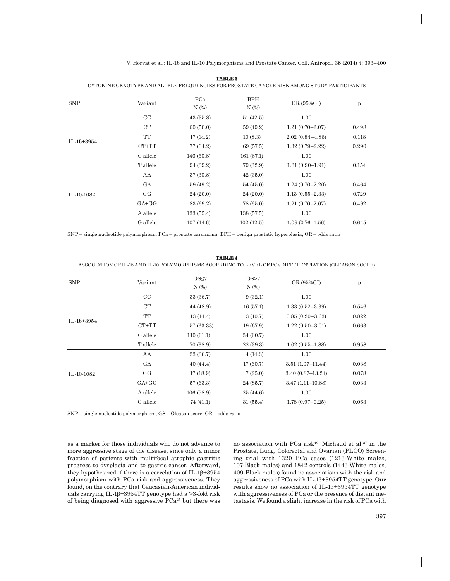| <b>SNP</b>   | Variant     | PCa<br>N(%) | <b>BPH</b><br>N(%) | OR (95%CI)          | p     |
|--------------|-------------|-------------|--------------------|---------------------|-------|
|              | $_{\rm CC}$ | 43(35.8)    | 51(42.5)           | 1.00                |       |
| $IL-18+3954$ | CT          | 60(50.0)    | 59 (49.2)          | $1.21(0.70 - 2.07)$ | 0.498 |
|              | TT          | 17(14.2)    | 10(8.3)            | $2.02(0.84 - 4.86)$ | 0.118 |
|              | $CT+TT$     | 77 (64.2)   | 69 (57.5)          | $1.32(0.79 - 2.22)$ | 0.290 |
|              | C allele    | 146 (60.8)  | 161(67.1)          | 1.00                |       |
|              | T allele    | 94 (39.2)   | 79 (32.9)          | $1.31(0.90-1.91)$   | 0.154 |
| IL-10-1082   | AA          | 37 (30.8)   | 42(35.0)           | 1.00                |       |
|              | GA          | 59 (49.2)   | 54 (45.0)          | $1.24(0.70 - 2.20)$ | 0.464 |
|              | GG          | 24(20.0)    | 24(20.0)           | $1.13(0.55 - 2.33)$ | 0.729 |
|              | $GA+GG$     | 83 (69.2)   | 78 (65.0)          | $1.21(0.70 - 2.07)$ | 0.492 |
|              | A allele    | 133(55.4)   | 138(57.5)          | 1.00                |       |
|              | G allele    | 107(44.6)   | 102(42.5)          | $1.09(0.76 - 1.56)$ | 0.645 |
|              |             |             |                    |                     |       |

**TABLE 3**

#### CYTOKINE GENOTYPE AND ALLELE FREQUENCIES FOR PROSTATE CANCER RISK AMONG STUDY PARTICIPANTS

SNP – single nucleotide polymorphism, PCa – prostate carcinoma, BPH – benign prostatic hyperplasia, OR – odds ratio

# **TABLE 4**

ASSOCIATION OF IL-1β AND IL-10 POLYMORPHISMS ACORRDING TO LEVEL OF PCa DIFFERENTIATION (GLEASON SCORE)

|              |           | $GS \leq 7$ | GS > 7     |                      |       |
|--------------|-----------|-------------|------------|----------------------|-------|
| <b>SNP</b>   | Variant   | $N$ $(\%)$  | $N$ $(\%)$ | OR (95%CI)           | p     |
|              | CC        | 33 (36.7)   | 9(32.1)    | 1.00                 |       |
|              | CT        | 44 (48.9)   | 16(57.1)   | $1.33(0.52 - 3.39)$  | 0.546 |
| $IL-18+3954$ | <b>TT</b> | 13(14.4)    | 3(10.7)    | $0.85(0.20 - 3.63)$  | 0.822 |
|              | $CT+TT$   | 57 (63.33)  | 19 (67.9)  | $1.22(0.50-3.01)$    | 0.663 |
|              | C allele  | 110(61.1)   | 34 (60.7)  | 1.00                 |       |
|              | T allele  | 70 (38.9)   | 22(39.3)   | $1.02(0.55 - 1.88)$  | 0.958 |
| IL-10-1082   | AA        | 33 (36.7)   | 4(14.3)    | 1.00                 |       |
|              | GA        | 40(44.4)    | 17(60.7)   | $3.51(1.07-11.44)$   | 0.038 |
|              | GG        | 17(18.9)    | 7(25.0)    | $3.40(0.87 - 13.24)$ | 0.078 |
|              | $GA+GG$   | 57 (63.3)   | 24 (85.7)  | $3.47(1.11 - 10.88)$ | 0.033 |
|              | A allele  | 106(58.9)   | 25 (44.6)  | 1.00                 |       |
|              | G allele  | 74 (41.1)   | 31(55.4)   | $1.78(0.97-0.25)$    | 0.063 |

SNP – single nucleotide polymorphism, GS – Gleason score, OR – odds ratio

as a marker for those individuals who do not advance to more aggressive stage of the disease, since only a minor fraction of patients with multifocal atrophic gastritis progress to dysplasia and to gastric cancer. Afterward, they hypothesized if there is a correlation of IL-1 $\beta$ +3954 polymorphism with PCa risk and aggressiveness. They found, on the contrary that Caucasian-American individuals carrying IL-1 $\beta$ +3954TT genotype had a >3-fold risk of being diagnosed with aggressive PCa25 but there was

no association with  $PCa$  risk<sup>40</sup>. Michaud et al.<sup>27</sup> in the Prostate, Lung, Colorectal and Ovarian (PLCO) Screening trial with 1320 PCa cases (1213-White males, 107-Black males) and 1842 controls (1443-White males, 409-Black males) found no associations with the risk and aggressiveness of PCa with IL-1b+3954TT genotype. Our results show no association of  $IL-1\beta+3954TT$  genotype with aggressiveness of PCa or the presence of distant metastasis. We found a slight increase in the risk of PCa with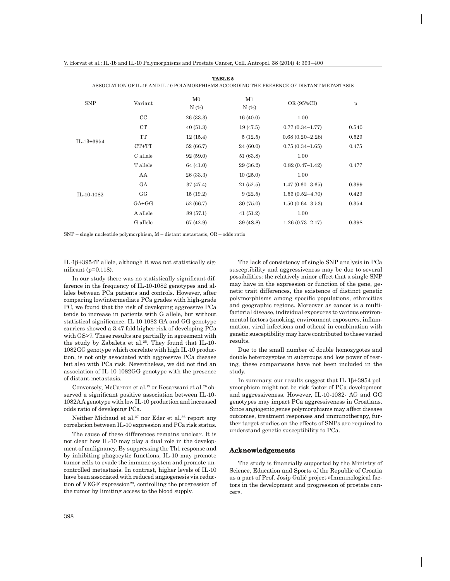| <b>SNP</b>   | Variant     | $_{\rm M0}$<br>$N$ $(\%)$ | M1<br>$N$ $(\%)$ | OR (95%CI)          | $\mathbf{p}$ |
|--------------|-------------|---------------------------|------------------|---------------------|--------------|
|              | $_{\rm CC}$ | 26 (33.3)                 | 16(40.0)         | 1.00                |              |
|              | CT          | 40(51.3)                  | 19(47.5)         | $0.77(0.34 - 1.77)$ | 0.540        |
|              | TT          | 12(15.4)                  | 5(12.5)          | $0.68(0.20 - 2.28)$ | 0.529        |
| $IL-18+3954$ | $CT+TT$     | 52 (66.7)                 | 24 (60.0)        | $0.75(0.34-1.65)$   | 0.475        |
|              | C allele    | 92(59.0)                  | 51 (63.8)        | 1.00                |              |
|              | T allele    | 64 (41.0)                 | 29 (36.2)        | $0.82(0.47-1.42)$   | 0.477        |
| IL-10-1082   | AA          | 26 (33.3)                 | 10(25.0)         | 1.00                |              |
|              | GA          | 37 (47.4)                 | 21(52.5)         | $1.47(0.60 - 3.65)$ | 0.399        |
|              | GG          | 15(19.2)                  | 9(22.5)          | $1.56(0.52 - 4.70)$ | 0.429        |
|              | $GA+GG$     | 52 (66.7)                 | 30(75.0)         | $1.50(0.64 - 3.53)$ | 0.354        |
|              | A allele    | 89 (57.1)                 | 41(51.2)         | 1.00                |              |
|              | G allele    | 67 (42.9)                 | 39 (48.8)        | $1.26(0.73 - 2.17)$ | 0.398        |

**TABLE 5**

ASSOCIATION OF IL-18 AND IL-10 POLYMOPPHISMS ACCOPDING THE PRESENCE OF DISTANT METASTASIS

 $SNP$  – single nucleotide polymorphism, M – distant metastasis,  $OR$  – odds ratio

IL-1b+3954T allele, although it was not statistically significant ( $p=0.118$ ).

In our study there was no statistically significant difference in the frequency of IL-10-1082 genotypes and alleles between PCa patients and controls. However, after comparing low/intermediate PCa grades with high-grade PC, we found that the risk of developing aggressive PCa tends to increase in patients with G allele, but without statistical significance. IL-10-1082 GA and GG genotype carriers showed a 3.47-fold higher risk of developing PCa with GS>7. These results are partially in agreement with the study by Zabaleta et al.<sup>25</sup>. They found that IL-10-1082GG genotype which correlate with high IL-10 production, is not only associated with aggressive PCa disease but also with PCa risk. Nevertheless, we did not find an association of IL-10-1082GG genotype with the presence of distant metastasis.

Conversely, McCarron et al.<sup>19</sup> or Kesarwani et al.<sup>26</sup> observed a significant positive association between IL-10-1082AA genotype with low IL-10 production and increased odds ratio of developing PCa.

Neither Michaud et al.<sup>27</sup> nor Eder et al.<sup>36</sup> report any correlation between IL-10 expression and PCa risk status.

The cause of these differences remains unclear. It is not clear how IL-10 may play a dual role in the development of malignancy. By suppressing the Th1 response and by inhibiting phagocytic functions, IL-10 may promote tumor cells to evade the immune system and promote uncontrolled metastasis. In contrast, higher levels of IL-10 have been associated with reduced angiogenesis via reduction of VEGF expression<sup>29</sup>, controlling the progression of the tumor by limiting access to the blood supply.

The lack of consistency of single SNP analysis in PCa susceptibility and aggressiveness may be due to several possibilities: the relatively minor effect that a single SNP may have in the expression or function of the gene, genetic trait differences, the existence of distinct genetic polymorphisms among specific populations, ethnicities and geographic regions. Moreover as cancer is a multifactorial disease, individual exposures to various environmental factors (smoking, environment exposures, inflammation, viral infections and others) in combination with genetic susceptibility may have contributed to these varied results.

Due to the small number of double homozygotes and double heterozygotes in subgroups and low power of testing, these comparisons have not been included in the study.

In summary, our results suggest that  $IL-1\beta+3954$  polymorphism might not be risk factor of PCa development and aggressiveness. However, IL-10-1082- AG and GG genotypes may impact PCa aggressiveness in Croatians. Since angiogenic genes polymorphisms may affect disease outcomes, treatment responses and immunotherapy, further target studies on the effects of SNPs are required to understand genetic susceptibility to PCa.

## **Acknowledgements cknowledgements**

The study is financially supported by the Ministry of Science, Education and Sports of the Republic of Croatia as a part of Prof. Josip Galić project »Immunological factors in the development and progression of prostate cancer«.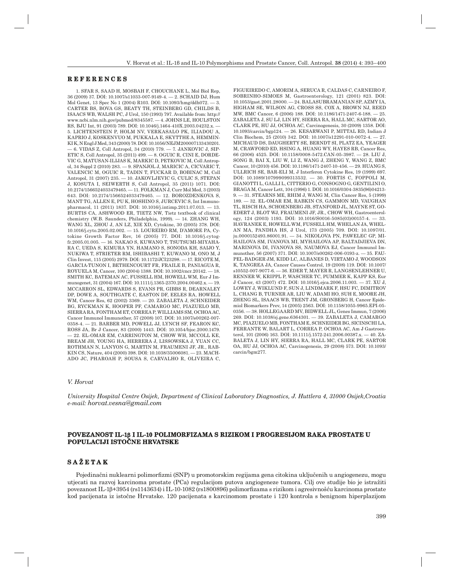#### **REFERENCES E F E R E N C E S**

1. SFAR S, SAAD H, MOSBAH F, CHOUCHANE L, Mol Biol Rep. 36 (2009) 37. DOI: 10.1007/s11033-007-9149-4. — 2. SCHA ID DJ, Hum Mol Genet, 13 Spec No 1 (2004) R103. DOI: 10.1093/hmg/ddh072. — 3. CARTER BS, BOVA GS, BEATY TH, STEINBERG GD, CHILDS B, ISAACS WB, WALSH PC, J Urol, 150 (1993) 797. Available from: http:// www.ncbi.nlm.nih.gov/pubmed/8345587. - 4. JOHNS LE, HOULSTON RS, BJU Int, 91 (2003) 789. DOI: 10.1046/j.1464-410X.2003.04232.x. — 5. LICHTENSTEIN P, HOLM NV, VERKASALO PK, ILIADOU A, KAPRIO J, KOSKENVUO M, PUKKALA E, SKYTTHE A, HEMMIN-KI K, N Engl J Med, 343 (2000) 78. DOI: 10.1056/NEJM200007133430201.  $-6.$  VIDAS Z, Coll Antropol, 34 (2010) 779. - 7. JANKOVIC J, SIP-ETIC S, Coll Antropol,  $35(2011)$  499. — 8. OGUIC R, CINI E, DORDE-VIC G, MATUSAN-ILIJAS K, MARKIC D, PETKOVIC M, Coll Antropol, 34 Suppl 2 (2010) 283. — 9. SPAN JOL J, MARICIC A, CICVARIC T, VALENCIC M, OGUIC R, TADIN T, FUCKAR D, BOBINAC M, Coll Antropol, 31 (2007) 235. - 10. JAKOVLJEVIC G, CULIC S, STEPAN J, KOSUTA I, SEIWERTH S, Coll Antropol, 35 (2011) 1071. DOI: 10.2174/1566524033479465. — 11. FOL KMAN J, Curr Mol Med, 3 (2003) 643. DOI: 10.2174/1566524033479465. - 12. BOROZDENKOVA S, MANT TG, ALLEN E, PU K, HOSHINO S, JURCEVIC S, Int Immunopharmacol, 11 (2011) 1837. DOI: 10.1016/j.intimp.2011.07.013. — 13. BUR TIS CA, ASHWOOD ER, TIETZ NW, Tietz textbook of clinical chemistry (W.B. Saunders, Philadelphia, 1999). — 14. ZHA NG WH, WANG XL, ZHOU J, AN LZ, XIE XD, Cytokine, 30 (2005) 378. DOI: 10.1016/j.cyto.2005.02.002. — 15. LOU REIRO RM, D'AMORE PA, Cytokine Growth Factor Rev, 16 (2005) 77. DOI: 10.1016/j.cytogfr.2005.01.005. — 16. NAK AO S, KUWANO T, TSUTSUMI-MIYAHA-RA C, UEDA S, KIMURA YN, HAMANO S, SONODA KH, SAIJO Y, NUKIWA T, STRIETER RM, ISHIBASHI T, KUWANO M, ONO M, J Clin Invest, 115 (2005) 2979. DOI: 10.1172/JCI23298. — 17. RIC OTE M, GARCIA-TUNON I, BETHENCOURT FR, FRAILE B, PANIAGUA R, ROYUELA M, Cancer, 100 (2004) 1388. DOI: 10.1002/cncr.20142. — 18. SMITH KC, BATEMAN AC, FUSSELL HM, HOWELL WM, Eur J Immunogenet, 31 (2004) 167. DOI: 10.1111/j.1365-2370.2004.00462.x. — 19. MCC ARRON SL, EDWARDS S, EVANS PR, GIBBS R, DEARNALEY DP, DOWE A, SOUTHGATE C, EASTON DF, EELES RA, HOWELL WM, Cancer Res, 62 (2002) 3369. - 20. ZABALETA J, SCHNEIDER BG, RYCKMAN K, HOOPER PF, CAMARGO MC, PIAZUELO MB, SIERRA RA, FONTHAM ET, CORREA P, WILLIAMS SM, OCHOA AC, Cancer Immunol Immunother, 57 (2008) 107. DOI: 10.1007/s00262-007- 0358-4. - 21. BARBER MD, POWELL JJ, LYNCH SF, FEARON KC, ROSS JA, Br J Cancer, 83 (2000) 1443. DOI: 10.1054/bjoc.2000.1479. — 22. EL- OMAR EM, CARRINGTON M, CHOW WH, MCCOLL KE, BREAM JH, YOUNG HA, HERRERA J, LISSOWSKA J, YUAN CC, ROTHMAN N, LANYON G, MARTIN M, FRAUMENI JF, JR., RAB-KIN CS, Nature, 404 (2000) 398. DOI: 10.1038/35006081. - 23. MACH-ADO JC, PHAROAH P, SOUSA S, CARVALHO R, OLIVEIRA C, FIGUEIREDO C, AMORIM A, SERUCA R, CALDAS C, CARNEIRO F, SOBRINHO-SIMOES M, Gastroenterology, 121 (2001) 823. DOI: 10.1053/gast.2001.28000. — 24. BAL ASUBRAMANIAN SP, AZMY IA, HIGHAM SE, WILSON AG, CROSS SS, COX A, BROWN NJ, REED MW, BMC Cancer, 6 (2006) 188. DOI: 10.1186/1471-2407-6-188. — 25. ZABALETA J, SU LJ, LIN HY, SIERRA RA, HALL MC, SARTOR AO, CLARK PE, HU JJ, OCHOA AC, Carcinogenesis, 30 (2009) 1358. DOI: 10.1093/carcin/bgp124. — 26. KES ARWANI P, MITTAL RD, Indian J Clin Biochem, 25 (2010) 342. DOI: 10.1007/s12291-010-0072-4. — 27. MIC HAUD DS, DAUGHERTY SE, BERNDT SI, PLATZ EA, YEAGER M, CRAWFORD ED, HSING A, HUANG WY, HAYES RB, Cancer Res, 66 (2006) 4525. DOI: 10.1158/0008-5472.CAN-05-3987. — 28. LIUJ, SONG B, BAI X, LIU W, LI Z, WANG J, ZHENG Y, WANG Z, BMC Cancer, 10 (2010) 456. DOI: 10.1186/1471-2407-10-456. — 29. HUA NG S, ULLRICH SE, BAR-ELI M, J Interferon Cytokine Res, 19 (1999) 697. DOI: 10.1089/107999099313532. - 30. FORTIS C, FOPPOLI M, GIANOTTI L, GALLI L, CITTERIO G, CONSOGNO G, GENTILINI O, BRAGA M, Cancer Lett, 104 (1996) 1. DOI: 10.1016/0304-3835(96)04213- 9. - 31. STEARNS ME, RHIM J, WANG M, Clin Cancer Res, 5 (1999) 189. — 32. EL- OMAR EM, RABKIN CS, GAMMON MD, VAUGHAN TL, RISCH HA, SCHOENBERG JB, STANFORD JL, MAYNE ST, GO-EDERT J, BLOT WJ, FRAUMENI JF, JR., CHOW WH, Gastroenterology, 124 (2003) 1193. DOI: 10.1016/S0016-5085(03)00157-4. — 33. HAV RANEK E, HOWELL WM, FUSSELL HM, WHELAN JA, WHEL-AN MA, PANDHA HS, J Urol, 173 (2005) 709. DOI: 10.1097/01. ju.0000152493.86001.91. - 34. NIKOLOVA PN, PAWELEC GP, MI-HAILOVA SM, IVANOVA MI, MYHAILOVA AP, BALTADJIEVA DN, MARINOVA DI, IVANOVA SS, NAUMOVA EJ, Cancer Immunol Immunother, 56 (2007) 371. DOI: 10.1007/s00262-006-0193-z. — 35. FAU-PEL-BADGER JM, KIDD LC, ALBANES D, VIRTAMO J, WOODSON K, TANGREA JA, Cancer Causes Control, 19 (2008) 119. DOI: 10.1007/ s10552-007-9077-6. - 36. EDER T, MAYER R, LANGSENLEHNER U, RENNER W, KRIPPL P, WASCHER TC, PUMMER K, KAPP KS, Eur J Cancer, 43 (2007) 472. DOI: 10.1016/j.ejca.2006.11.003. — 37. XU J, LOWEY J, WIKLUND F, SUN J, LINDMARK F, HSU FC, DIMITROV L, CHANG B, TURNER AR, LIU W, ADAMI HO, SUH E, MOORE JH, ZHENG SL, ISAACS WB, TRENT JM, GRONBERG H, Cancer Epidemiol Biomarkers Prev, 14 (2005) 2563. DOI: 10.1158/1055-9965.EPI-05- 0356. — 38. HOLLEGAARD MV, BIDWELL JL, Genes Immun, 7 (2006) 269. DOI: 10.1038/sj.gene.6364301. — 39. ZAB ALETA J, CAMARGO MC, PIAZUELO MB, FONTHAM E, SCHNEIDER BG, SICINSCHI LA, FERRANTE W, BALART L, CORREA P, OCHOA AC, Am J Gastroenterol, 101 (2006) 163. DOI: 10.1111/j.1572-241.2006.00387.x. — 40. ZA-BALETA J, LIN HY, SIERRA RA, HALL MC, CLARK PE, SARTOR OA, HU JJ, OCHOA AC, Carcinogenesis, 29 (2008) 573. DOI: 10.1093/ carcin/bgm277.

# *V. Horvat*

*University Hospital Centre Osijek, Department of Clinical Laboratory Diagnostics, J. Huttlera 4, 31000 Osijek,Croatia e-mail: horvat.vesna@gmail.com*

## POVEZANOST IL-16 I IL-10 POLIMORFIZAMA S RIZIKOM I PROGRESIJOM RAKA PROSTATE U **POPULACIJI ISTO OPULACIJI ČNE HRVATSKE**

# **SAŽETAK**

Pojedinačni nuklearni polimorfizmi (SNP) u promotorskim regijama gena citokina uključenih u angiogenezu, mogu utjecati na razvoj karcinoma prostate (PCa) regulacijom putova angiogeneze tumora. Cilj ove studije bio je istražiti povezanost IL-1β+3954 (rs1143634) i IL-10-1082 (rs1800896) polimorfizama s rizikom i agresivnošću karcinoma prostate kod pacijenata iz istočne Hrvatske. 120 pacijenata s karcinomom prostate i 120 kontrola s benignom hiperplazijom